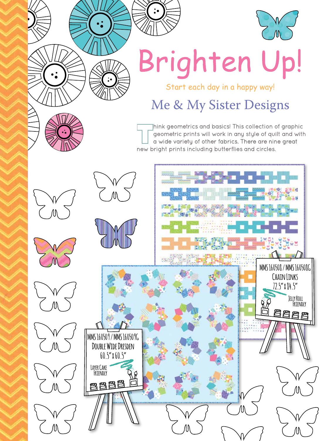



## Brighten Up!

Start each day in a happy way!

## Me & My Sister Designs

hink geometrics and basics! This collection of graphic geometric prints will work in any style of quilt and with a wide variety of other fabrics. There are nine great new bright prints including butterflies and circles.

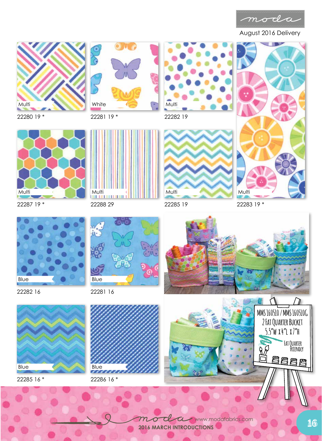

August 2016 Delivery







22282 19



22285 19



Blue

22287 19 \*

Multi

22282 16



22281 16

22288 29

Multi<br><u>Lul Lu Lu Lu II II</u>





22285 16 \*



22286 16 \*



 **MMS 160510 / MMS 160510G 2 Fat Quarter Bucket 5.5"w x 4"l x 7"h Fat Quarter Friendly** <u>gee</u> 灰

www.modafabrics.com 16  $\boldsymbol{\sigma}$ **2016 MARCH INTRODUCTIONS**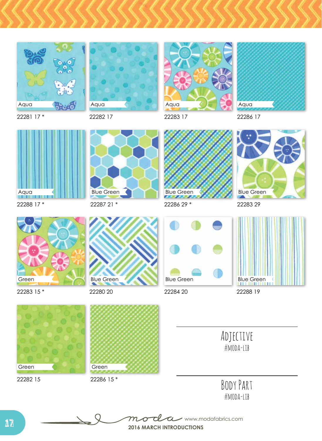







22286 17

22281 17 \*

22282 17



22287 21 \*



22286 29 \*





22283 15 \*

22288 17 \*

Aqua

Blue Green

22280 20



22282 15



22286 15 \*



22284 20



22288 19

Adjective #moda-lib